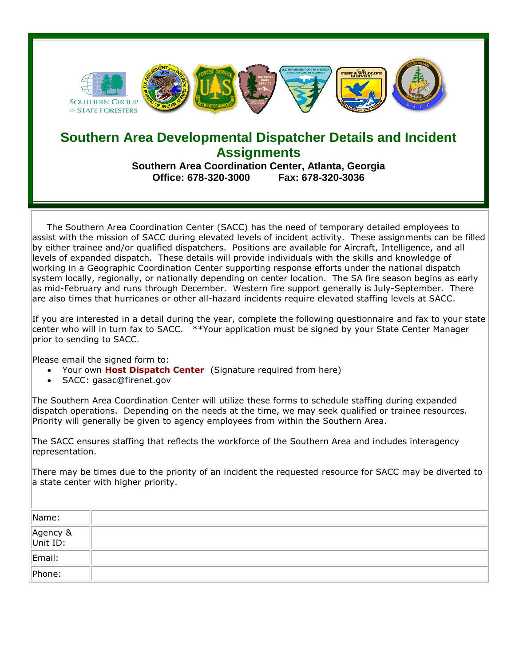

## **Southern Area Developmental Dispatcher Details and Incident Assignments**

**Southern Area Coordination Center, Atlanta, Georgia Office: 678-320-3000 Fax: 678-320-3036**

 The Southern Area Coordination Center (SACC) has the need of temporary detailed employees to assist with the mission of SACC during elevated levels of incident activity. These assignments can be filled by either trainee and/or qualified dispatchers. Positions are available for Aircraft, Intelligence, and all levels of expanded dispatch. These details will provide individuals with the skills and knowledge of working in a Geographic Coordination Center supporting response efforts under the national dispatch system locally, regionally, or nationally depending on center location. The SA fire season begins as early as mid-February and runs through December. Western fire support generally is July-September. There are also times that hurricanes or other all-hazard incidents require elevated staffing levels at SACC.

If you are interested in a detail during the year, complete the following questionnaire and fax to your state center who will in turn fax to SACC. \*\*Your application must be signed by your State Center Manager prior to sending to SACC.

Please email the signed form to:

- Your own **Host Dispatch Center** (Signature required from here)
- SACC: gasac@firenet.gov

The Southern Area Coordination Center will utilize these forms to schedule staffing during expanded dispatch operations. Depending on the needs at the time, we may seek qualified or trainee resources. Priority will generally be given to agency employees from within the Southern Area.

The SACC ensures staffing that reflects the workforce of the Southern Area and includes interagency representation.

There may be times due to the priority of an incident the requested resource for SACC may be diverted to a state center with higher priority.

| Name:                |  |
|----------------------|--|
| Agency &<br>Unit ID: |  |
| Email:               |  |
| Phone:               |  |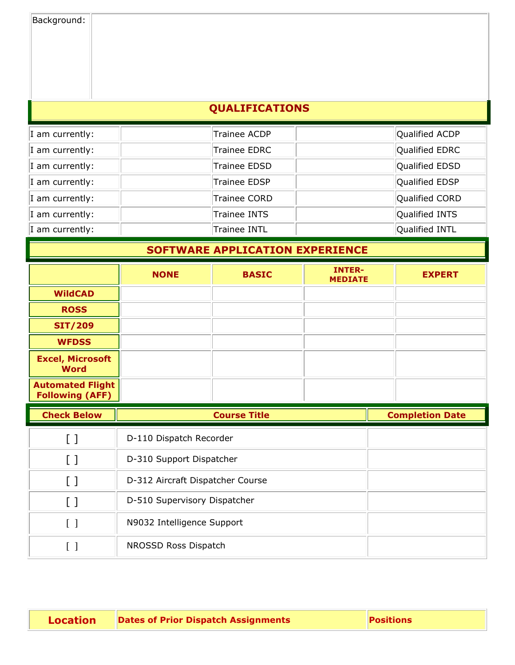| Background: |  |
|-------------|--|
|-------------|--|

## **QUALIFICATIONS**

| I am currently: | Trainee ACDP        | Qualified ACDP |
|-----------------|---------------------|----------------|
| I am currently: | Trainee EDRC        | Qualified EDRC |
| I am currently: | Trainee EDSD        | Qualified EDSD |
| I am currently: | <b>Trainee EDSP</b> | Qualified EDSP |
| I am currently: | Trainee CORD        | Qualified CORD |
| I am currently: | Trainee INTS        | Qualified INTS |
| I am currently: | <b>Trainee INTL</b> | Qualified INTL |

## **SOFTWARE APPLICATION EXPERIENCE**

|                                                   | <b>NONE</b>             | <b>BASIC</b>        | <b>INTER-</b><br><b>MEDIATE</b> | <b>EXPERT</b>          |
|---------------------------------------------------|-------------------------|---------------------|---------------------------------|------------------------|
| <b>WildCAD</b>                                    |                         |                     |                                 |                        |
| <b>ROSS</b>                                       |                         |                     |                                 |                        |
| <b>SIT/209</b>                                    |                         |                     |                                 |                        |
| <b>WFDSS</b>                                      |                         |                     |                                 |                        |
| <b>Excel, Microsoft</b><br><b>Word</b>            |                         |                     |                                 |                        |
| <b>Automated Flight</b><br><b>Following (AFF)</b> |                         |                     |                                 |                        |
| <b>Check Below</b>                                |                         | <b>Course Title</b> |                                 | <b>Completion Date</b> |
| $\left[\right]$                                   | D-110 Dispatch Recorder |                     |                                 |                        |
| <b>C</b> 7                                        |                         |                     |                                 |                        |

| . . |                                  |  |
|-----|----------------------------------|--|
|     | D-310 Support Dispatcher         |  |
|     | D-312 Aircraft Dispatcher Course |  |
|     | D-510 Supervisory Dispatcher     |  |
|     | N9032 Intelligence Support       |  |
|     | NROSSD Ross Dispatch             |  |

| <b>Location</b> | <b>Dates of Prior Dispatch Assignments</b> | <b>Positions</b> |  |
|-----------------|--------------------------------------------|------------------|--|
|-----------------|--------------------------------------------|------------------|--|